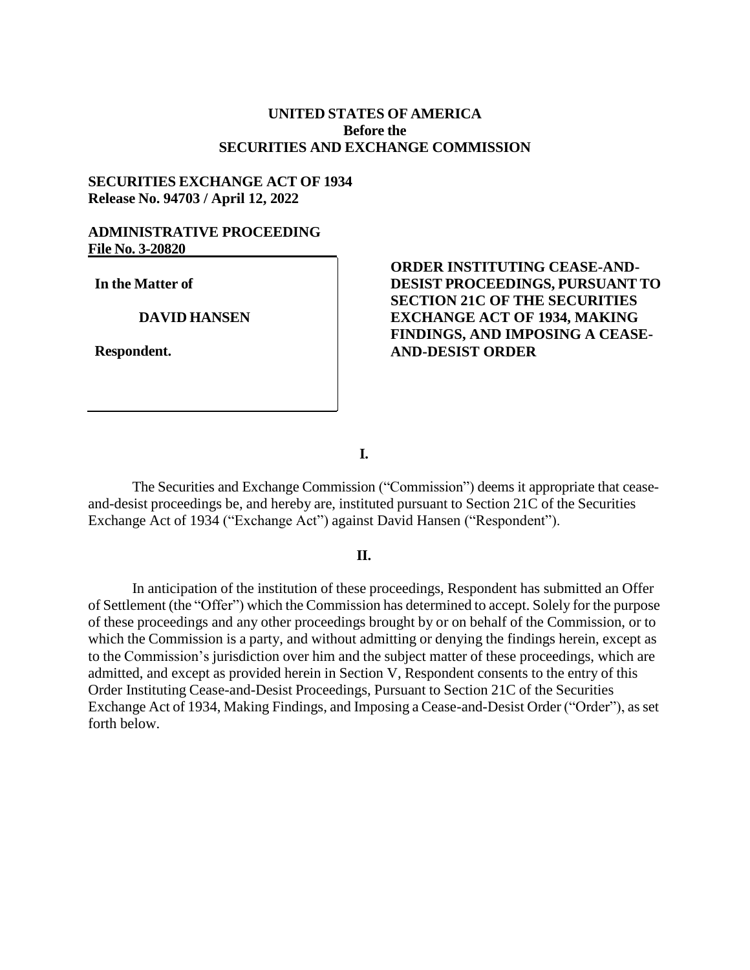## **UNITED STATES OF AMERICA Before the SECURITIES AND EXCHANGE COMMISSION**

## **SECURITIES EXCHANGE ACT OF 1934 Release No. 94703 / April 12, 2022**

## **ADMINISTRATIVE PROCEEDING File No. 3-20820**

**In the Matter of**

**DAVID HANSEN**

**Respondent.**

# **ORDER INSTITUTING CEASE-AND-DESIST PROCEEDINGS, PURSUANT TO SECTION 21C OF THE SECURITIES EXCHANGE ACT OF 1934, MAKING FINDINGS, AND IMPOSING A CEASE-AND-DESIST ORDER**

**I.**

The Securities and Exchange Commission ("Commission") deems it appropriate that ceaseand-desist proceedings be, and hereby are, instituted pursuant to Section 21C of the Securities Exchange Act of 1934 ("Exchange Act") against David Hansen ("Respondent").

### **II.**

In anticipation of the institution of these proceedings, Respondent has submitted an Offer of Settlement (the "Offer") which the Commission has determined to accept. Solely for the purpose of these proceedings and any other proceedings brought by or on behalf of the Commission, or to which the Commission is a party, and without admitting or denying the findings herein, except as to the Commission's jurisdiction over him and the subject matter of these proceedings, which are admitted, and except as provided herein in Section V, Respondent consents to the entry of this Order Instituting Cease-and-Desist Proceedings, Pursuant to Section 21C of the Securities Exchange Act of 1934, Making Findings, and Imposing a Cease-and-Desist Order ("Order"), as set forth below.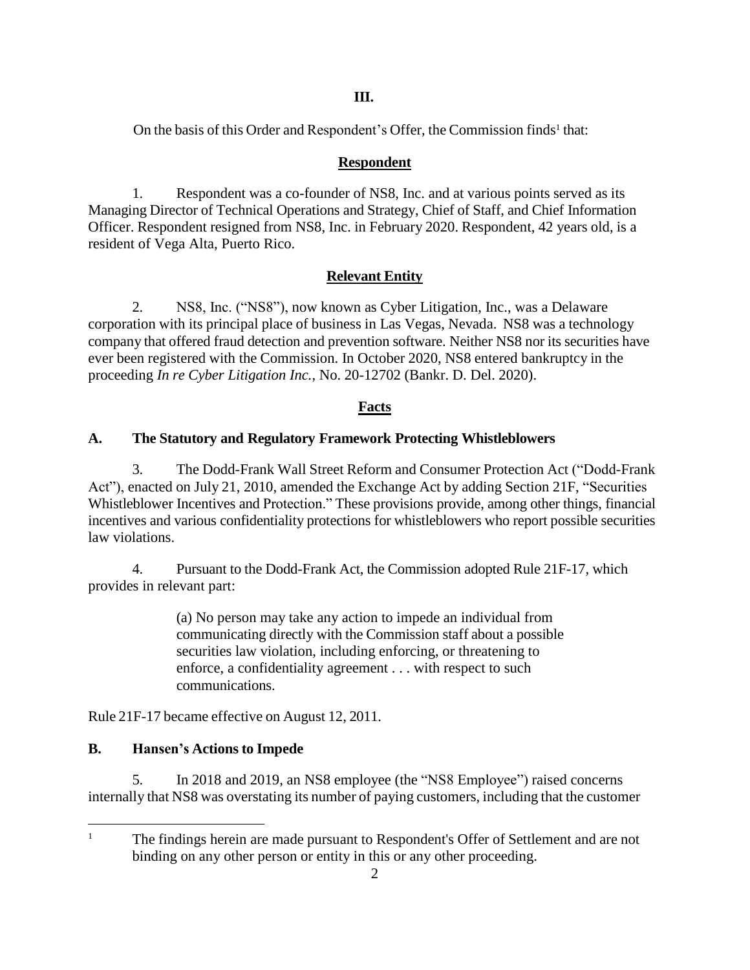## **III.**

On the ba[s](#page-1-0)is of this Order and Respondent's Offer, the Commission finds<sup>1</sup> that:

# **Respondent**

1. Respondent was a co-founder of NS8, Inc. and at various points served as its Managing Director of Technical Operations and Strategy, Chief of Staff, and Chief Information Officer. Respondent resigned from NS8, Inc. in February 2020. Respondent, 42 years old, is a resident of Vega Alta, Puerto Rico.

# **Relevant Entity**

2. NS8, Inc. ("NS8"), now known as Cyber Litigation, Inc., was a Delaware corporation with its principal place of business in Las Vegas, Nevada. NS8 was a technology company that offered fraud detection and prevention software. Neither NS8 nor its securities have ever been registered with the Commission. In October 2020, NS8 entered bankruptcy in the proceeding *In re Cyber Litigation Inc.*, No. 20-12702 (Bankr. D. Del. 2020).

# **Facts**

# **A. The Statutory and Regulatory Framework Protecting Whistleblowers**

3. The Dodd-Frank Wall Street Reform and Consumer Protection Act ("Dodd-Frank Act"), enacted on July 21, 2010, amended the Exchange Act by adding Section 21F, "Securities Whistleblower Incentives and Protection." These provisions provide, among other things, financial incentives and various confidentiality protections for whistleblowers who report possible securities law violations.

4. Pursuant to the Dodd-Frank Act, the Commission adopted Rule 21F-17, which provides in relevant part:

> (a) No person may take any action to impede an individual from communicating directly with the Commission staff about a possible securities law violation, including enforcing, or threatening to enforce, a confidentiality agreement . . . with respect to such communications.

Rule 21F-17 became effective on August 12, 2011.

# **B. Hansen's Actions to Impede**

5. In 2018 and 2019, an NS8 employee (the "NS8 Employee") raised concerns internally that NS8 was overstating its number of paying customers, including that the customer

<span id="page-1-0"></span><sup>&</sup>lt;sup>1</sup> The findings herein are made pursuant to Respondent's Offer of Settlement and are not binding on any other person or entity in this or any other proceeding.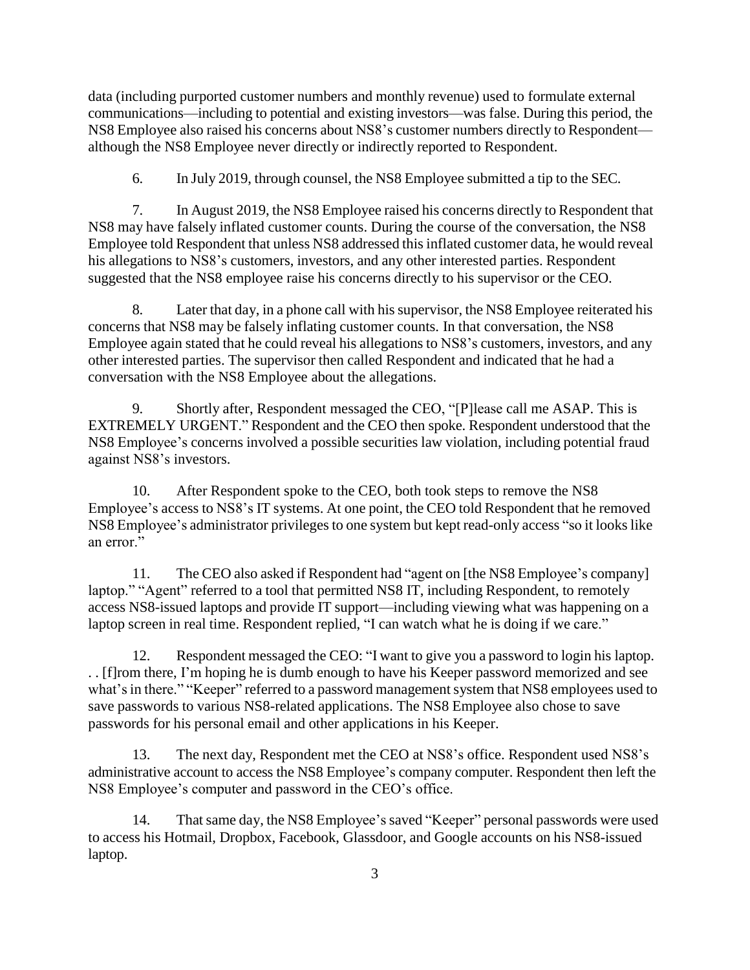data (including purported customer numbers and monthly revenue) used to formulate external communications—including to potential and existing investors—was false. During this period, the NS8 Employee also raised his concerns about NS8's customer numbers directly to Respondent although the NS8 Employee never directly or indirectly reported to Respondent.

6. In July 2019, through counsel, the NS8 Employee submitted a tip to the SEC.

7. In August 2019, the NS8 Employee raised his concerns directly to Respondent that NS8 may have falsely inflated customer counts. During the course of the conversation, the NS8 Employee told Respondent that unless NS8 addressed this inflated customer data, he would reveal his allegations to NS8's customers, investors, and any other interested parties. Respondent suggested that the NS8 employee raise his concerns directly to his supervisor or the CEO.

8. Later that day, in a phone call with his supervisor, the NS8 Employee reiterated his concerns that NS8 may be falsely inflating customer counts. In that conversation, the NS8 Employee again stated that he could reveal his allegations to NS8's customers, investors, and any other interested parties. The supervisor then called Respondent and indicated that he had a conversation with the NS8 Employee about the allegations.

9. Shortly after, Respondent messaged the CEO, "[P]lease call me ASAP. This is EXTREMELY URGENT." Respondent and the CEO then spoke. Respondent understood that the NS8 Employee's concerns involved a possible securities law violation, including potential fraud against NS8's investors.

10. After Respondent spoke to the CEO, both took steps to remove the NS8 Employee's access to NS8's IT systems. At one point, the CEO told Respondent that he removed NS8 Employee's administrator privileges to one system but kept read-only access "so it looks like an error."

11. The CEO also asked if Respondent had "agent on [the NS8 Employee's company] laptop." "Agent" referred to a tool that permitted NS8 IT, including Respondent, to remotely access NS8-issued laptops and provide IT support—including viewing what was happening on a laptop screen in real time. Respondent replied, "I can watch what he is doing if we care."

12. Respondent messaged the CEO: "I want to give you a password to login his laptop. . . [f]rom there, I'm hoping he is dumb enough to have his Keeper password memorized and see what's in there." "Keeper" referred to a password management system that NS8 employees used to save passwords to various NS8-related applications. The NS8 Employee also chose to save passwords for his personal email and other applications in his Keeper.

13. The next day, Respondent met the CEO at NS8's office. Respondent used NS8's administrative account to access the NS8 Employee's company computer. Respondent then left the NS8 Employee's computer and password in the CEO's office.

14. That same day, the NS8 Employee's saved "Keeper" personal passwords were used to access his Hotmail, Dropbox, Facebook, Glassdoor, and Google accounts on his NS8-issued laptop.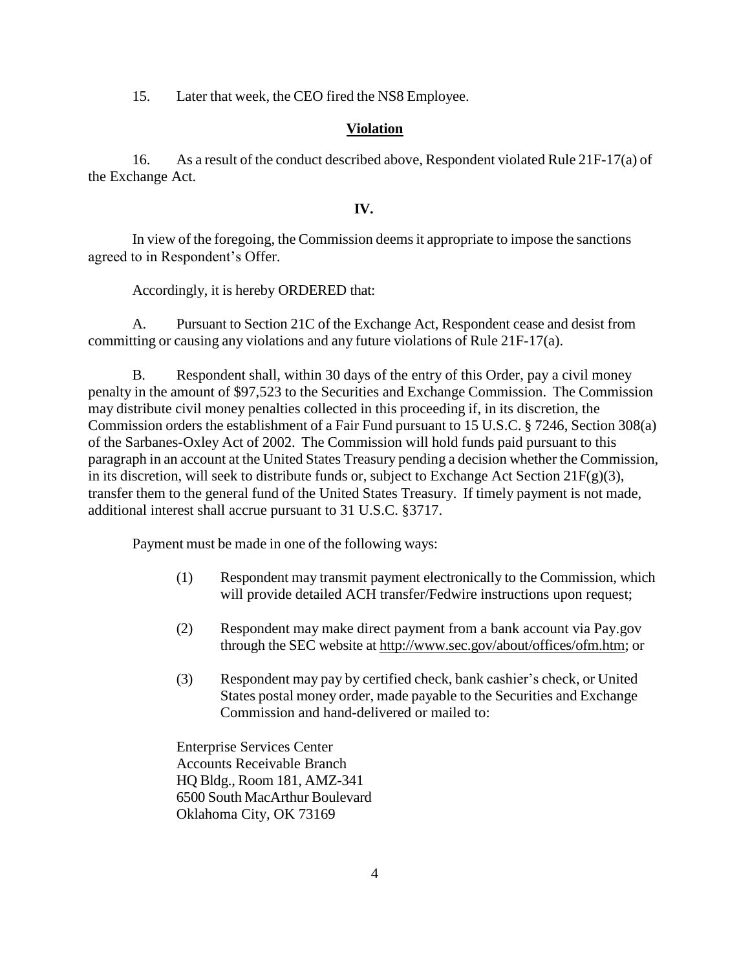15. Later that week, the CEO fired the NS8 Employee.

## **Violation**

16. As a result of the conduct described above, Respondent violated Rule 21F-17(a) of the Exchange Act.

### **IV.**

In view of the foregoing, the Commission deemsit appropriate to impose the sanctions agreed to in Respondent's Offer.

Accordingly, it is hereby ORDERED that:

A. Pursuant to Section 21C of the Exchange Act, Respondent cease and desist from committing or causing any violations and any future violations of Rule 21F-17(a).

B. Respondent shall, within 30 days of the entry of this Order, pay a civil money penalty in the amount of \$97,523 to the Securities and Exchange Commission. The Commission may distribute civil money penalties collected in this proceeding if, in its discretion, the Commission orders the establishment of a Fair Fund pursuant to 15 U.S.C. § 7246, Section 308(a) of the Sarbanes-Oxley Act of 2002. The Commission will hold funds paid pursuant to this paragraph in an account at the United States Treasury pending a decision whether the Commission, in its discretion, will seek to distribute funds or, subject to Exchange Act Section  $21F(g)(3)$ , transfer them to the general fund of the United States Treasury. If timely payment is not made, additional interest shall accrue pursuant to 31 U.S.C. §3717.

Payment must be made in one of the following ways:

- (1) Respondent may transmit payment electronically to the Commission, which will provide detailed ACH transfer/Fedwire instructions upon request;
- (2) Respondent may make direct payment from a bank account via Pay.gov through the SEC website at [http://www.sec.gov/about/offices/ofm.htm;](http://www.sec.gov/about/offices/ofm.htm) or
- (3) Respondent may pay by certified check, bank cashier's check, or United States postal money order, made payable to the Securities and Exchange Commission and hand-delivered or mailed to:

Enterprise Services Center Accounts Receivable Branch HQ Bldg., Room 181, AMZ-341 6500 South MacArthur Boulevard Oklahoma City, OK 73169